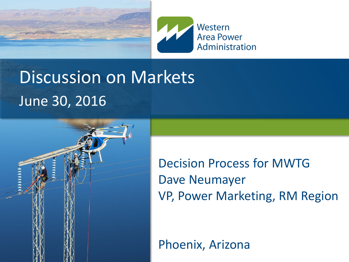



### Discussion on Markets June 30, 2016



Decision Process for MWTG Dave Neumayer VP, Power Marketing, RM Region

Phoenix, Arizona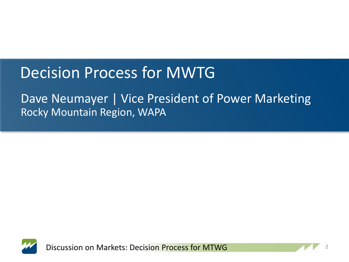### Decision Process for MWTG

#### Dave Neumayer | Vice President of Power Marketing Rocky Mountain Region, WAPA



Discussion on Markets: Decision Process for MTWG

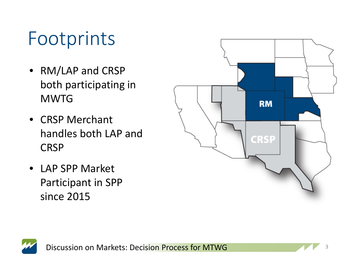### Footprints

- RM/LAP and CRSP both participating in **MWTG**
- CRSP Merchant handles both LAP and CRSP
- LAP SPP Market Participant in SPP since 2015





Discussion on Markets: Decision Process for MTWG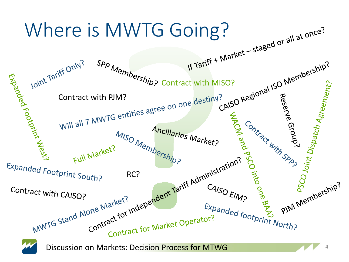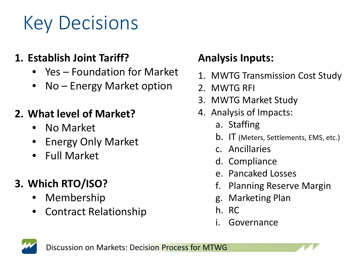# Key Decisions

#### **1. Establish Joint Tariff?**

- Yes Foundation for Market
- No Energy Market option

#### **2. What level of Market?**

- No Market
- Energy Only Market
- Full Market

#### **3. Which RTO/ISO?**

- Membership
- Contract Relationship

#### **Analysis Inputs:**

- 1. MWTG Transmission Cost Study
- 2. MWTG RFI
- 3. MWTG Market Study
- 4. Analysis of Impacts:
	- a. Staffing
	- b. IT (Meters, Settlements, EMS, etc.)
	- c. Ancillaries
	- d. Compliance
	- e. Pancaked Losses
	- f. Planning Reserve Margin
	- g. Marketing Plan
	- h. RC
	- i. Governance